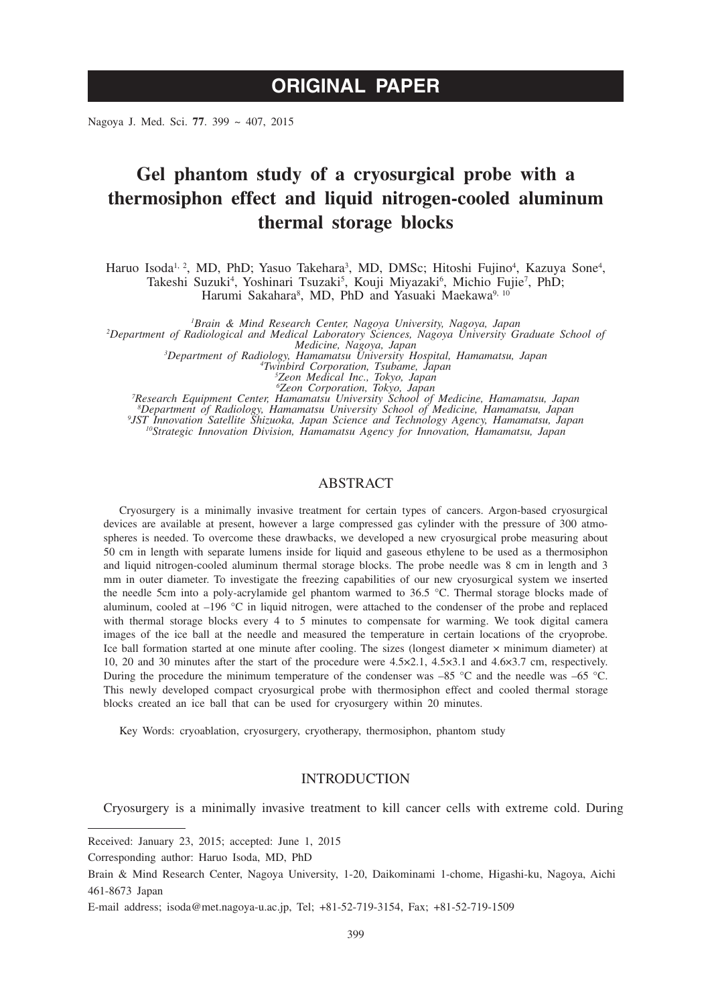Nagoya J. Med. Sci. **77**. 399 ~ 407, 2015

# **Gel phantom study of a cryosurgical probe with a thermosiphon effect and liquid nitrogen-cooled aluminum thermal storage blocks**

Haruo Isoda<sup>1, 2</sup>, MD, PhD; Yasuo Takehara<sup>3</sup>, MD, DMSc; Hitoshi Fujino<sup>4</sup>, Kazuya Sone<sup>4</sup>, Takeshi Suzuki<sup>4</sup>, Yoshinari Tsuzaki<sup>5</sup>, Kouji Miyazaki<sup>6</sup>, Michio Fujie<sup>7</sup>, PhD; Harumi Sakahara<sup>8</sup>, MD, PhD and Yasuaki Maekawa<sup>9, 10</sup>

*1 Brain & Mind Research Center, Nagoya University, Nagoya, Japan <sup>2</sup> Department of Radiological and Medical Laboratory Sciences, Nagoya University Graduate School of Medicine, Nagoya, Japan <sup>3</sup> Department of Radiology, Hamamatsu University Hospital, Hamamatsu, Japan <sup>4</sup>*

Fwinbird Corporation, Tsubame, Japan<br><sup>5</sup>Zeon Medical Inc., Tokyo, Japan<br><sup>6</sup>Zeon Corporation, Tokyo, Japan<br><sup>6</sup>Zeon Corporation, Tokyo, Japan<br><sup>8</sup>Department of Radiology, Hamamatsu University School of Medicine, Hamamatsu, Ja

## ABSTRACT

Cryosurgery is a minimally invasive treatment for certain types of cancers. Argon-based cryosurgical devices are available at present, however a large compressed gas cylinder with the pressure of 300 atmospheres is needed. To overcome these drawbacks, we developed a new cryosurgical probe measuring about 50 cm in length with separate lumens inside for liquid and gaseous ethylene to be used as a thermosiphon and liquid nitrogen-cooled aluminum thermal storage blocks. The probe needle was 8 cm in length and 3 mm in outer diameter. To investigate the freezing capabilities of our new cryosurgical system we inserted the needle 5cm into a poly-acrylamide gel phantom warmed to 36.5 °C. Thermal storage blocks made of aluminum, cooled at  $-196$  °C in liquid nitrogen, were attached to the condenser of the probe and replaced with thermal storage blocks every 4 to 5 minutes to compensate for warming. We took digital camera images of the ice ball at the needle and measured the temperature in certain locations of the cryoprobe. Ice ball formation started at one minute after cooling. The sizes (longest diameter × minimum diameter) at 10, 20 and 30 minutes after the start of the procedure were 4.5×2.1, 4.5×3.1 and 4.6×3.7 cm, respectively. During the procedure the minimum temperature of the condenser was  $-85$  °C and the needle was  $-65$  °C. This newly developed compact cryosurgical probe with thermosiphon effect and cooled thermal storage blocks created an ice ball that can be used for cryosurgery within 20 minutes.

Key Words: cryoablation, cryosurgery, cryotherapy, thermosiphon, phantom study

## INTRODUCTION

Cryosurgery is a minimally invasive treatment to kill cancer cells with extreme cold. During

Received: January 23, 2015; accepted: June 1, 2015

Corresponding author: Haruo Isoda, MD, PhD

Brain & Mind Research Center, Nagoya University, 1-20, Daikominami 1-chome, Higashi-ku, Nagoya, Aichi 461-8673 Japan

E-mail address; isoda@met.nagoya-u.ac.jp, Tel; +81-52-719-3154, Fax; +81-52-719-1509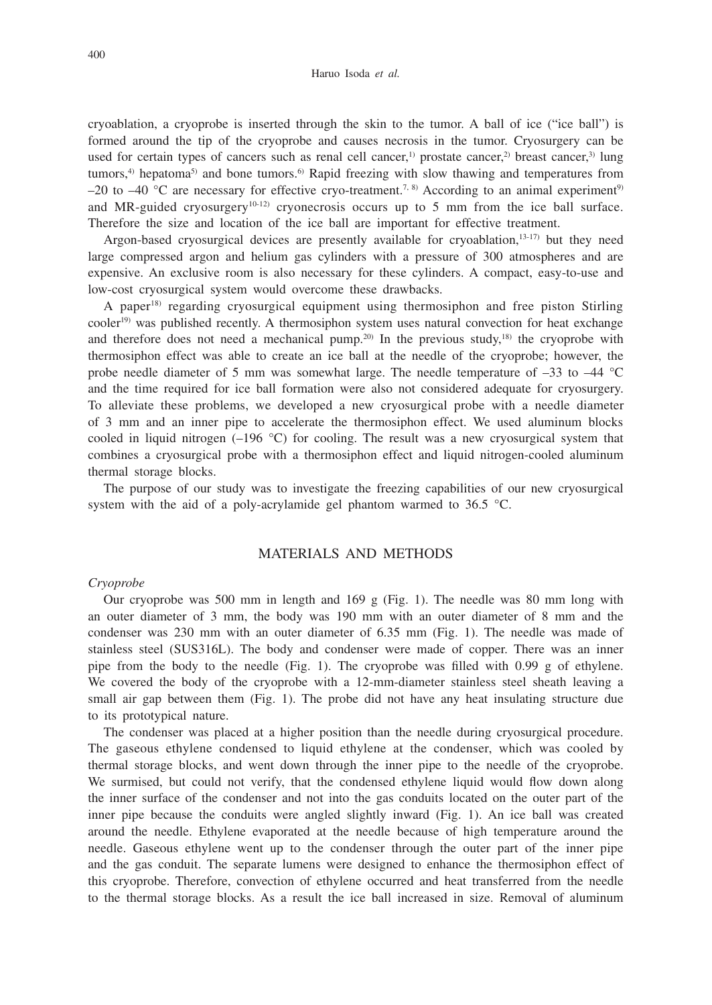cryoablation, a cryoprobe is inserted through the skin to the tumor. A ball of ice ("ice ball") is formed around the tip of the cryoprobe and causes necrosis in the tumor. Cryosurgery can be used for certain types of cancers such as renal cell cancer,<sup>1)</sup> prostate cancer,<sup>2)</sup> breast cancer,<sup>3)</sup> lung tumors, $4$ ) hepatoma $5$ ) and bone tumors. $6$ ) Rapid freezing with slow thawing and temperatures from –20 to –40 °C are necessary for effective cryo-treatment.<sup>7, 8)</sup> According to an animal experiment<sup>9)</sup> and MR-guided cryosurgery<sup>10-12</sup> cryonecrosis occurs up to 5 mm from the ice ball surface. Therefore the size and location of the ice ball are important for effective treatment.

Argon-based cryosurgical devices are presently available for cryoablation, $13-17$ ) but they need large compressed argon and helium gas cylinders with a pressure of 300 atmospheres and are expensive. An exclusive room is also necessary for these cylinders. A compact, easy-to-use and low-cost cryosurgical system would overcome these drawbacks.

A paper18) regarding cryosurgical equipment using thermosiphon and free piston Stirling cooler<sup>19)</sup> was published recently. A thermosiphon system uses natural convection for heat exchange and therefore does not need a mechanical pump.<sup>20)</sup> In the previous study,<sup>18)</sup> the cryoprobe with thermosiphon effect was able to create an ice ball at the needle of the cryoprobe; however, the probe needle diameter of 5 mm was somewhat large. The needle temperature of –33 to –44 °C and the time required for ice ball formation were also not considered adequate for cryosurgery. To alleviate these problems, we developed a new cryosurgical probe with a needle diameter of 3 mm and an inner pipe to accelerate the thermosiphon effect. We used aluminum blocks cooled in liquid nitrogen  $(-196 \degree C)$  for cooling. The result was a new cryosurgical system that combines a cryosurgical probe with a thermosiphon effect and liquid nitrogen-cooled aluminum thermal storage blocks.

The purpose of our study was to investigate the freezing capabilities of our new cryosurgical system with the aid of a poly-acrylamide gel phantom warmed to 36.5 °C.

## MATERIALS AND METHODS

## *Cryoprobe*

Our cryoprobe was 500 mm in length and 169 g (Fig. 1). The needle was 80 mm long with an outer diameter of 3 mm, the body was 190 mm with an outer diameter of 8 mm and the condenser was 230 mm with an outer diameter of 6.35 mm (Fig. 1). The needle was made of stainless steel (SUS316L). The body and condenser were made of copper. There was an inner pipe from the body to the needle (Fig. 1). The cryoprobe was filled with  $0.99 \text{ g}$  of ethylene. We covered the body of the cryoprobe with a 12-mm-diameter stainless steel sheath leaving a small air gap between them (Fig. 1). The probe did not have any heat insulating structure due to its prototypical nature.

The condenser was placed at a higher position than the needle during cryosurgical procedure. The gaseous ethylene condensed to liquid ethylene at the condenser, which was cooled by thermal storage blocks, and went down through the inner pipe to the needle of the cryoprobe. We surmised, but could not verify, that the condensed ethylene liquid would flow down along the inner surface of the condenser and not into the gas conduits located on the outer part of the inner pipe because the conduits were angled slightly inward (Fig. 1). An ice ball was created around the needle. Ethylene evaporated at the needle because of high temperature around the needle. Gaseous ethylene went up to the condenser through the outer part of the inner pipe and the gas conduit. The separate lumens were designed to enhance the thermosiphon effect of this cryoprobe. Therefore, convection of ethylene occurred and heat transferred from the needle to the thermal storage blocks. As a result the ice ball increased in size. Removal of aluminum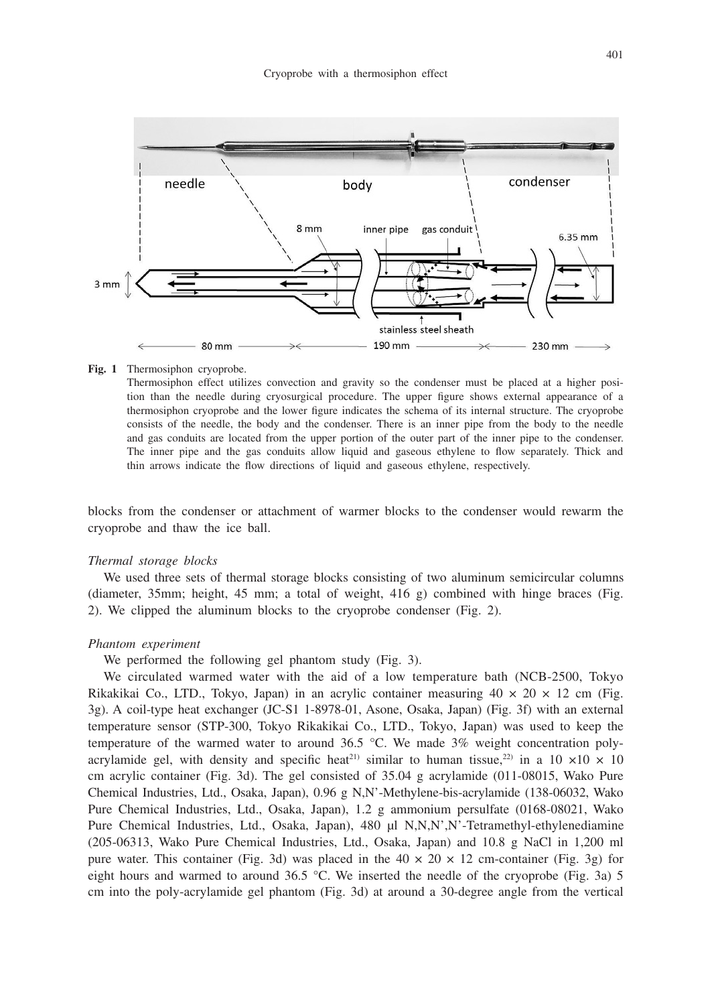

#### **Fig. 1** Thermosiphon cryoprobe.

Thermosiphon effect utilizes convection and gravity so the condenser must be placed at a higher position than the needle during cryosurgical procedure. The upper figure shows external appearance of a thermosiphon cryoprobe and the lower figure indicates the schema of its internal structure. The cryoprobe consists of the needle, the body and the condenser. There is an inner pipe from the body to the needle and gas conduits are located from the upper portion of the outer part of the inner pipe to the condenser. The inner pipe and the gas conduits allow liquid and gaseous ethylene to flow separately. Thick and thin arrows indicate the flow directions of liquid and gaseous ethylene, respectively.

blocks from the condenser or attachment of warmer blocks to the condenser would rewarm the cryoprobe and thaw the ice ball.

#### *Thermal storage blocks*

We used three sets of thermal storage blocks consisting of two aluminum semicircular columns (diameter, 35mm; height, 45 mm; a total of weight, 416 g) combined with hinge braces (Fig. 2). We clipped the aluminum blocks to the cryoprobe condenser (Fig. 2).

#### *Phantom experiment*

We performed the following gel phantom study (Fig. 3).

We circulated warmed water with the aid of a low temperature bath (NCB-2500, Tokyo Rikakikai Co., LTD., Tokyo, Japan) in an acrylic container measuring  $40 \times 20 \times 12$  cm (Fig. 3g). A coil-type heat exchanger (JC-S1 1-8978-01, Asone, Osaka, Japan) (Fig. 3f) with an external temperature sensor (STP-300, Tokyo Rikakikai Co., LTD., Tokyo, Japan) was used to keep the temperature of the warmed water to around 36.5 °C. We made 3% weight concentration polyacrylamide gel, with density and specific heat<sup>21)</sup> similar to human tissue,<sup>22)</sup> in a 10  $\times$ 10  $\times$  10 cm acrylic container (Fig. 3d). The gel consisted of 35.04 g acrylamide (011-08015, Wako Pure Chemical Industries, Ltd., Osaka, Japan), 0.96 g N,N'-Methylene-bis-acrylamide (138-06032, Wako Pure Chemical Industries, Ltd., Osaka, Japan), 1.2 g ammonium persulfate (0168-08021, Wako Pure Chemical Industries, Ltd., Osaka, Japan), 480 μl N,N,N',N'-Tetramethyl-ethylenediamine (205-06313, Wako Pure Chemical Industries, Ltd., Osaka, Japan) and 10.8 g NaCl in 1,200 ml pure water. This container (Fig. 3d) was placed in the  $40 \times 20 \times 12$  cm-container (Fig. 3g) for eight hours and warmed to around 36.5 °C. We inserted the needle of the cryoprobe (Fig. 3a) 5 cm into the poly-acrylamide gel phantom (Fig. 3d) at around a 30-degree angle from the vertical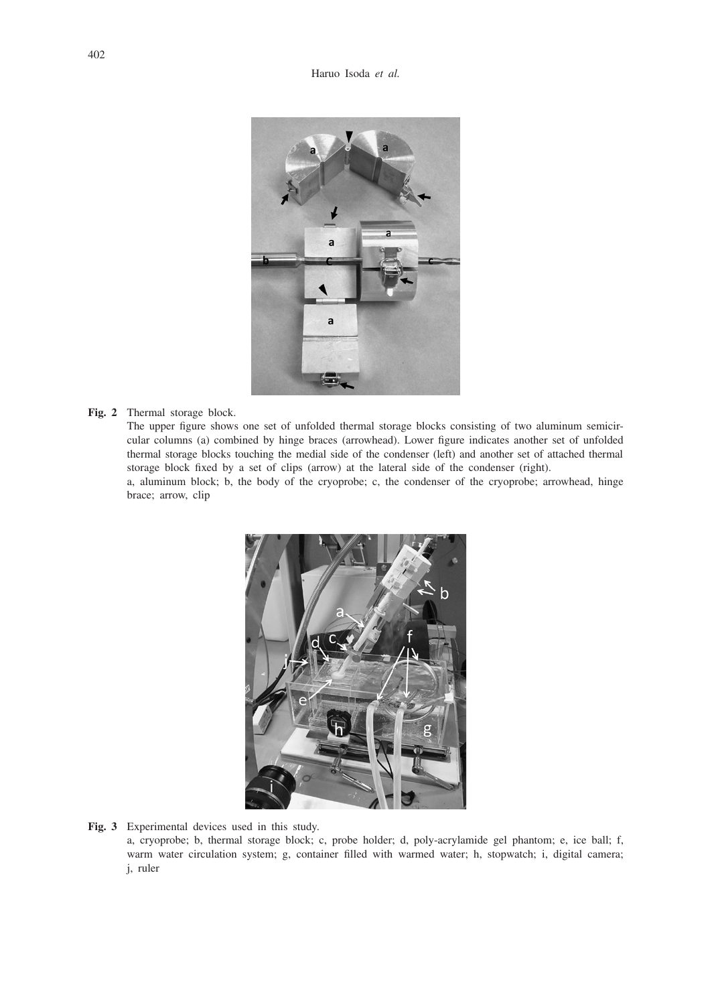

## **Fig. 2** Thermal storage block.

The upper figure shows one set of unfolded thermal storage blocks consisting of two aluminum semicircular columns (a) combined by hinge braces (arrowhead). Lower figure indicates another set of unfolded thermal storage blocks touching the medial side of the condenser (left) and another set of attached thermal storage block fixed by a set of clips (arrow) at the lateral side of the condenser (right).

a, aluminum block; b, the body of the cryoprobe; c, the condenser of the cryoprobe; arrowhead, hinge brace; arrow, clip



#### **Fig. 3** Experimental devices used in this study.

a, cryoprobe; b, thermal storage block; c, probe holder; d, poly-acrylamide gel phantom; e, ice ball; f, warm water circulation system; g, container filled with warmed water; h, stopwatch; i, digital camera; j, ruler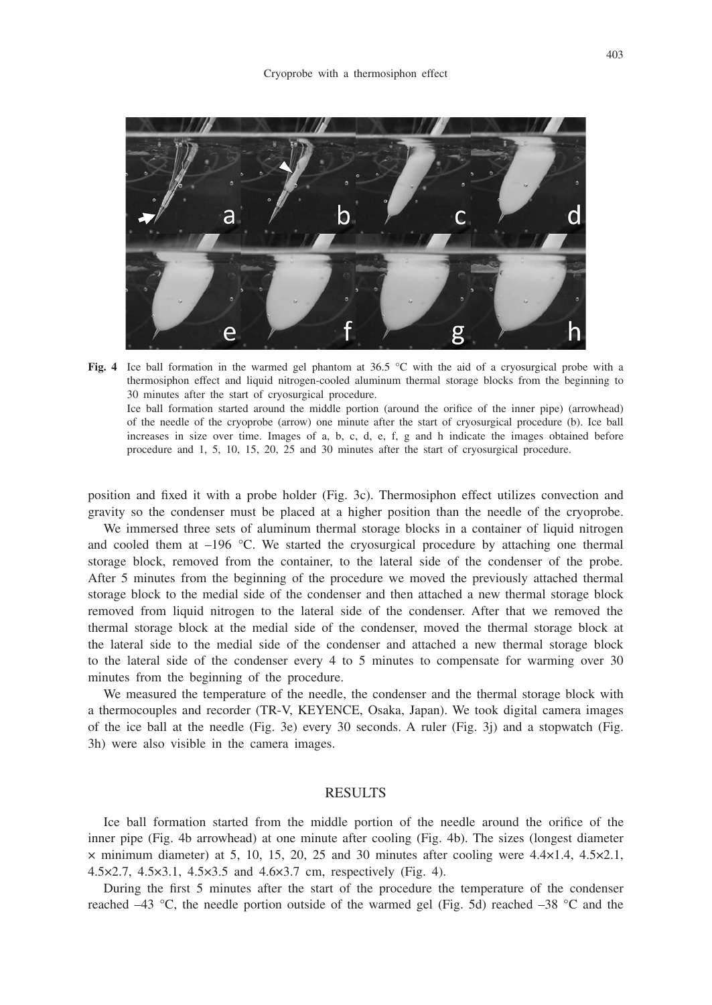

**Fig. 4** Ice ball formation in the warmed gel phantom at 36.5 °C with the aid of a cryosurgical probe with a thermosiphon effect and liquid nitrogen-cooled aluminum thermal storage blocks from the beginning to 30 minutes after the start of cryosurgical procedure. Ice ball formation started around the middle portion (around the orifice of the inner pipe) (arrowhead) of the needle of the cryoprobe (arrow) one minute after the start of cryosurgical procedure (b). Ice ball increases in size over time. Images of a, b, c, d, e, f, g and h indicate the images obtained before procedure and 1, 5, 10, 15, 20, 25 and 30 minutes after the start of cryosurgical procedure.

position and fixed it with a probe holder (Fig. 3c). Thermosiphon effect utilizes convection and gravity so the condenser must be placed at a higher position than the needle of the cryoprobe.

We immersed three sets of aluminum thermal storage blocks in a container of liquid nitrogen and cooled them at  $-196$  °C. We started the cryosurgical procedure by attaching one thermal storage block, removed from the container, to the lateral side of the condenser of the probe. After 5 minutes from the beginning of the procedure we moved the previously attached thermal storage block to the medial side of the condenser and then attached a new thermal storage block removed from liquid nitrogen to the lateral side of the condenser. After that we removed the thermal storage block at the medial side of the condenser, moved the thermal storage block at the lateral side to the medial side of the condenser and attached a new thermal storage block to the lateral side of the condenser every 4 to 5 minutes to compensate for warming over 30 minutes from the beginning of the procedure.

We measured the temperature of the needle, the condenser and the thermal storage block with a thermocouples and recorder (TR-V, KEYENCE, Osaka, Japan). We took digital camera images of the ice ball at the needle (Fig. 3e) every 30 seconds. A ruler (Fig. 3j) and a stopwatch (Fig. 3h) were also visible in the camera images.

## RESULTS

Ice ball formation started from the middle portion of the needle around the orifice of the inner pipe (Fig. 4b arrowhead) at one minute after cooling (Fig. 4b). The sizes (longest diameter  $\times$  minimum diameter) at 5, 10, 15, 20, 25 and 30 minutes after cooling were 4.4 $\times$ 1.4, 4.5 $\times$ 2.1, 4.5×2.7, 4.5×3.1, 4.5×3.5 and 4.6×3.7 cm, respectively (Fig. 4).

During the first 5 minutes after the start of the procedure the temperature of the condenser reached  $-43$  °C, the needle portion outside of the warmed gel (Fig. 5d) reached  $-38$  °C and the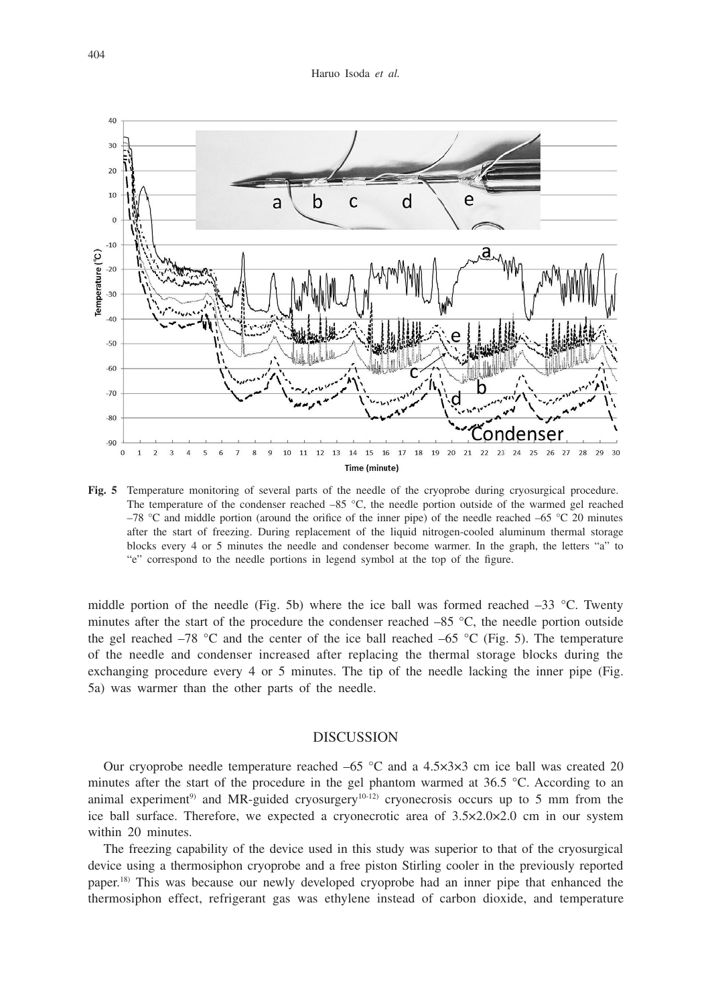

**Fig. 5** Temperature monitoring of several parts of the needle of the cryoprobe during cryosurgical procedure. The temperature of the condenser reached  $-85$  °C, the needle portion outside of the warmed gel reached –78 °C and middle portion (around the orifice of the inner pipe) of the needle reached –65 °C 20 minutes after the start of freezing. During replacement of the liquid nitrogen-cooled aluminum thermal storage blocks every 4 or 5 minutes the needle and condenser become warmer. In the graph, the letters "a" to "e" correspond to the needle portions in legend symbol at the top of the figure.

middle portion of the needle (Fig. 5b) where the ice ball was formed reached  $-33$  °C. Twenty minutes after the start of the procedure the condenser reached  $-85$  °C, the needle portion outside the gel reached –78 °C and the center of the ice ball reached –65 °C (Fig. 5). The temperature of the needle and condenser increased after replacing the thermal storage blocks during the exchanging procedure every 4 or 5 minutes. The tip of the needle lacking the inner pipe (Fig. 5a) was warmer than the other parts of the needle.

## DISCUSSION

Our cryoprobe needle temperature reached  $-65$  °C and a 4.5 $\times$ 3 $\times$ 3 cm ice ball was created 20 minutes after the start of the procedure in the gel phantom warmed at 36.5 °C. According to an animal experiment<sup>9)</sup> and MR-guided cryosurgery<sup>10-12)</sup> cryonecrosis occurs up to 5 mm from the ice ball surface. Therefore, we expected a cryonecrotic area of 3.5×2.0×2.0 cm in our system within 20 minutes.

The freezing capability of the device used in this study was superior to that of the cryosurgical device using a thermosiphon cryoprobe and a free piston Stirling cooler in the previously reported paper.18) This was because our newly developed cryoprobe had an inner pipe that enhanced the thermosiphon effect, refrigerant gas was ethylene instead of carbon dioxide, and temperature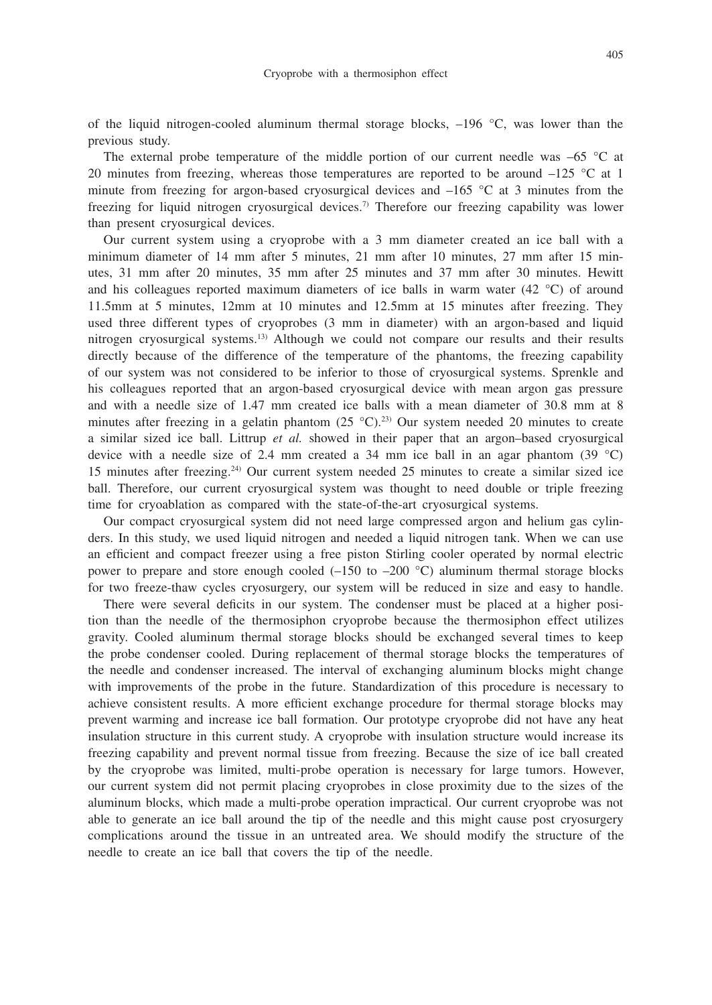of the liquid nitrogen-cooled aluminum thermal storage blocks, –196 °C, was lower than the previous study.

The external probe temperature of the middle portion of our current needle was  $-65$  °C at 20 minutes from freezing, whereas those temperatures are reported to be around –125 °C at 1 minute from freezing for argon-based cryosurgical devices and  $-165$  °C at 3 minutes from the freezing for liquid nitrogen cryosurgical devices.7) Therefore our freezing capability was lower than present cryosurgical devices.

Our current system using a cryoprobe with a 3 mm diameter created an ice ball with a minimum diameter of 14 mm after 5 minutes, 21 mm after 10 minutes, 27 mm after 15 minutes, 31 mm after 20 minutes, 35 mm after 25 minutes and 37 mm after 30 minutes. Hewitt and his colleagues reported maximum diameters of ice balls in warm water (42 °C) of around 11.5mm at 5 minutes, 12mm at 10 minutes and 12.5mm at 15 minutes after freezing. They used three different types of cryoprobes (3 mm in diameter) with an argon-based and liquid nitrogen cryosurgical systems.13) Although we could not compare our results and their results directly because of the difference of the temperature of the phantoms, the freezing capability of our system was not considered to be inferior to those of cryosurgical systems. Sprenkle and his colleagues reported that an argon-based cryosurgical device with mean argon gas pressure and with a needle size of 1.47 mm created ice balls with a mean diameter of 30.8 mm at 8 minutes after freezing in a gelatin phantom  $(25 \degree C)^{23}$  Our system needed 20 minutes to create a similar sized ice ball. Littrup *et al.* showed in their paper that an argon–based cryosurgical device with a needle size of 2.4 mm created a 34 mm ice ball in an agar phantom (39  $^{\circ}$ C) 15 minutes after freezing.24) Our current system needed 25 minutes to create a similar sized ice ball. Therefore, our current cryosurgical system was thought to need double or triple freezing time for cryoablation as compared with the state-of-the-art cryosurgical systems.

Our compact cryosurgical system did not need large compressed argon and helium gas cylinders. In this study, we used liquid nitrogen and needed a liquid nitrogen tank. When we can use an efficient and compact freezer using a free piston Stirling cooler operated by normal electric power to prepare and store enough cooled  $(-150$  to  $-200$  °C) aluminum thermal storage blocks for two freeze-thaw cycles cryosurgery, our system will be reduced in size and easy to handle.

There were several deficits in our system. The condenser must be placed at a higher position than the needle of the thermosiphon cryoprobe because the thermosiphon effect utilizes gravity. Cooled aluminum thermal storage blocks should be exchanged several times to keep the probe condenser cooled. During replacement of thermal storage blocks the temperatures of the needle and condenser increased. The interval of exchanging aluminum blocks might change with improvements of the probe in the future. Standardization of this procedure is necessary to achieve consistent results. A more efficient exchange procedure for thermal storage blocks may prevent warming and increase ice ball formation. Our prototype cryoprobe did not have any heat insulation structure in this current study. A cryoprobe with insulation structure would increase its freezing capability and prevent normal tissue from freezing. Because the size of ice ball created by the cryoprobe was limited, multi-probe operation is necessary for large tumors. However, our current system did not permit placing cryoprobes in close proximity due to the sizes of the aluminum blocks, which made a multi-probe operation impractical. Our current cryoprobe was not able to generate an ice ball around the tip of the needle and this might cause post cryosurgery complications around the tissue in an untreated area. We should modify the structure of the needle to create an ice ball that covers the tip of the needle.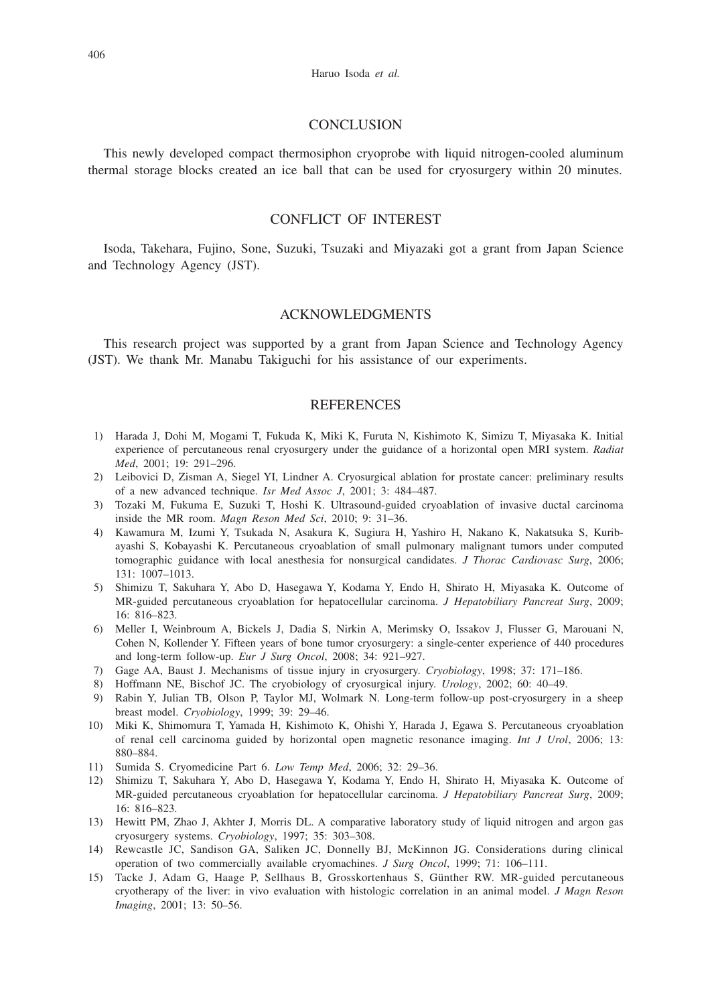## **CONCLUSION**

This newly developed compact thermosiphon cryoprobe with liquid nitrogen-cooled aluminum thermal storage blocks created an ice ball that can be used for cryosurgery within 20 minutes.

# CONFLICT OF INTEREST

Isoda, Takehara, Fujino, Sone, Suzuki, Tsuzaki and Miyazaki got a grant from Japan Science and Technology Agency (JST).

## ACKNOWLEDGMENTS

This research project was supported by a grant from Japan Science and Technology Agency (JST). We thank Mr. Manabu Takiguchi for his assistance of our experiments.

## **REFERENCES**

- 1) Harada J, Dohi M, Mogami T, Fukuda K, Miki K, Furuta N, Kishimoto K, Simizu T, Miyasaka K. Initial experience of percutaneous renal cryosurgery under the guidance of a horizontal open MRI system. *Radiat Med*, 2001; 19: 291–296.
- 2) Leibovici D, Zisman A, Siegel YI, Lindner A. Cryosurgical ablation for prostate cancer: preliminary results of a new advanced technique. *Isr Med Assoc J*, 2001; 3: 484–487.
- 3) Tozaki M, Fukuma E, Suzuki T, Hoshi K. Ultrasound-guided cryoablation of invasive ductal carcinoma inside the MR room. *Magn Reson Med Sci*, 2010; 9: 31–36.
- 4) Kawamura M, Izumi Y, Tsukada N, Asakura K, Sugiura H, Yashiro H, Nakano K, Nakatsuka S, Kuribayashi S, Kobayashi K. Percutaneous cryoablation of small pulmonary malignant tumors under computed tomographic guidance with local anesthesia for nonsurgical candidates. *J Thorac Cardiovasc Surg*, 2006; 131: 1007–1013.
- 5) Shimizu T, Sakuhara Y, Abo D, Hasegawa Y, Kodama Y, Endo H, Shirato H, Miyasaka K. Outcome of MR-guided percutaneous cryoablation for hepatocellular carcinoma. *J Hepatobiliary Pancreat Surg*, 2009; 16: 816–823.
- 6) Meller I, Weinbroum A, Bickels J, Dadia S, Nirkin A, Merimsky O, Issakov J, Flusser G, Marouani N, Cohen N, Kollender Y. Fifteen years of bone tumor cryosurgery: a single-center experience of 440 procedures and long-term follow-up. *Eur J Surg Oncol*, 2008; 34: 921–927.
- 7) Gage AA, Baust J. Mechanisms of tissue injury in cryosurgery. *Cryobiology*, 1998; 37: 171–186.
- 8) Hoffmann NE, Bischof JC. The cryobiology of cryosurgical injury. *Urology*, 2002; 60: 40–49.
- 9) Rabin Y, Julian TB, Olson P, Taylor MJ, Wolmark N. Long-term follow-up post-cryosurgery in a sheep breast model. *Cryobiology*, 1999; 39: 29–46.
- 10) Miki K, Shimomura T, Yamada H, Kishimoto K, Ohishi Y, Harada J, Egawa S. Percutaneous cryoablation of renal cell carcinoma guided by horizontal open magnetic resonance imaging. *Int J Urol*, 2006; 13: 880–884.
- 11) Sumida S. Cryomedicine Part 6. *Low Temp Med*, 2006; 32: 29–36.
- 12) Shimizu T, Sakuhara Y, Abo D, Hasegawa Y, Kodama Y, Endo H, Shirato H, Miyasaka K. Outcome of MR-guided percutaneous cryoablation for hepatocellular carcinoma. *J Hepatobiliary Pancreat Surg*, 2009; 16: 816–823.
- 13) Hewitt PM, Zhao J, Akhter J, Morris DL. A comparative laboratory study of liquid nitrogen and argon gas cryosurgery systems. *Cryobiology*, 1997; 35: 303–308.
- 14) Rewcastle JC, Sandison GA, Saliken JC, Donnelly BJ, McKinnon JG. Considerations during clinical operation of two commercially available cryomachines. *J Surg Oncol*, 1999; 71: 106–111.
- 15) Tacke J, Adam G, Haage P, Sellhaus B, Grosskortenhaus S, Günther RW. MR-guided percutaneous cryotherapy of the liver: in vivo evaluation with histologic correlation in an animal model. *J Magn Reson Imaging*, 2001; 13: 50–56.